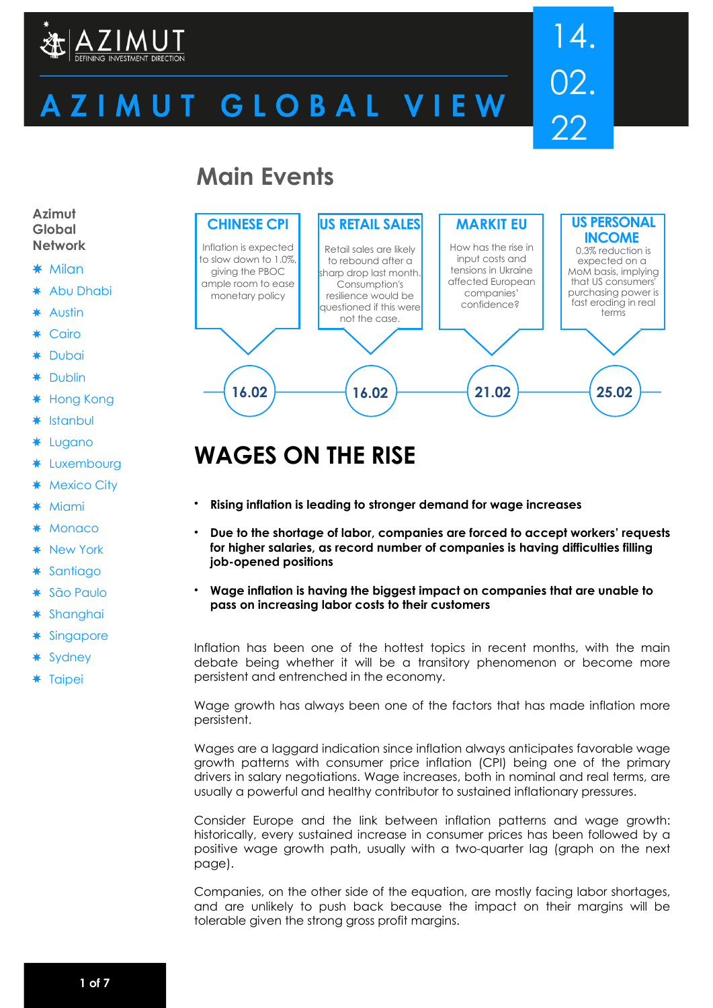

# ZIMUT GLOBAL VIEW

# 14. 02. 22

# **Main Events**



# **WAGES ON THE RISE**

- **Rising inflation is leading to stronger demand for wage increases**
- **Due to the shortage of labor, companies are forced to accept workers' requests for higher salaries, as record number of companies is having difficulties filling job-opened positions**
- **Wage inflation is having the biggest impact on companies that are unable to pass on increasing labor costs to their customers**

Inflation has been one of the hottest topics in recent months, with the main debate being whether it will be a transitory phenomenon or become more persistent and entrenched in the economy.

Wage growth has always been one of the factors that has made inflation more persistent.

Wages are a laggard indication since inflation always anticipates favorable wage growth patterns with consumer price inflation (CPI) being one of the primary drivers in salary negotiations. Wage increases, both in nominal and real terms, are usually a powerful and healthy contributor to sustained inflationary pressures.

Consider Europe and the link between inflation patterns and wage growth: historically, every sustained increase in consumer prices has been followed by a positive wage growth path, usually with a two-quarter lag (graph on the next page).

Companies, on the other side of the equation, are mostly facing labor shortages, and are unlikely to push back because the impact on their margins will be tolerable given the strong gross profit margins.

#### **Azimut Global Network**

#### $*$  Milan

- \* Abu Dhabi
- Austin
- Cairo
- Dubai
- Dublin
- Hong Kong ₩
- Istanbul
- ∗ Lugano
- \* Luxembourg
- **Mexico City**
- **Miami**
- **Monaco**
- New York
- **Santiago** ₩
- São Paulo
- Shanghai ☀
- **Singapore**
- **Sydney**
- \* Taipei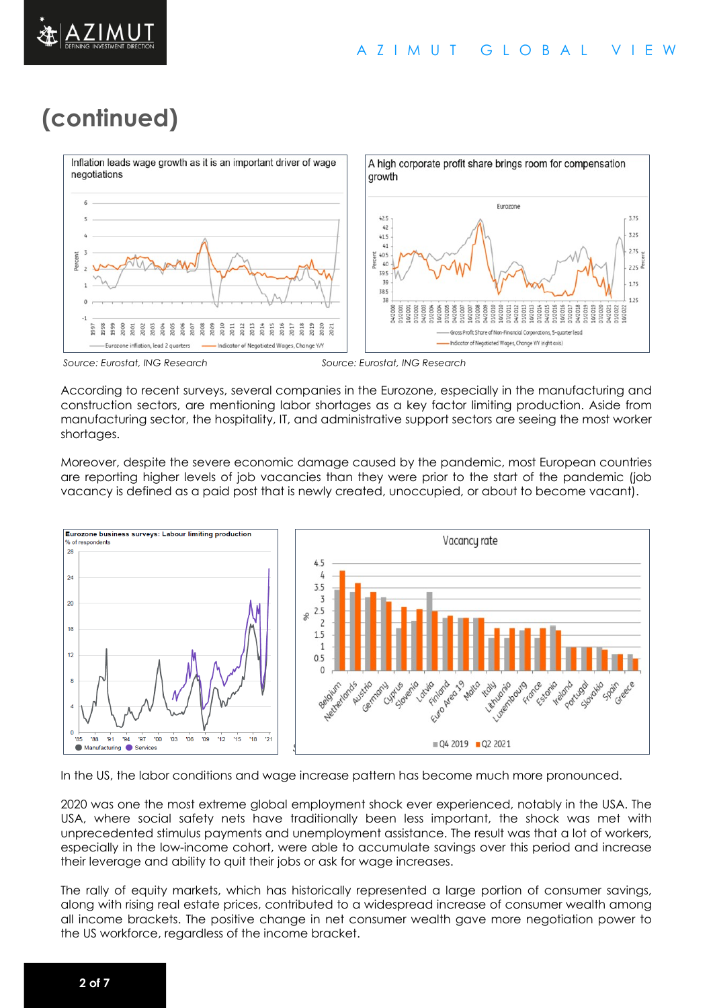



*Source: Eurostat, ING Research Source: Eurostat, ING Research*

According to recent surveys, several companies in the Eurozone, especially in the manufacturing and construction sectors, are mentioning labor shortages as a key factor limiting production. Aside from manufacturing sector, the hospitality, IT, and administrative support sectors are seeing the most worker shortages.

Moreover, despite the severe economic damage caused by the pandemic, most European countries are reporting higher levels of job vacancies than they were prior to the start of the pandemic (job vacancy is defined as a paid post that is newly created, unoccupied, or about to become vacant).



In the US, the labor conditions and wage increase pattern has become much more pronounced.

2020 was one the most extreme global employment shock ever experienced, notably in the USA. The USA, where social safety nets have traditionally been less important, the shock was met with unprecedented stimulus payments and unemployment assistance. The result was that a lot of workers, especially in the low-income cohort, were able to accumulate savings over this period and increase their leverage and ability to quit their jobs or ask for wage increases.

The rally of equity markets, which has historically represented a large portion of consumer savings, along with rising real estate prices, contributed to a widespread increase of consumer wealth among all income brackets. The positive change in net consumer wealth gave more negotiation power to the US workforce, regardless of the income bracket.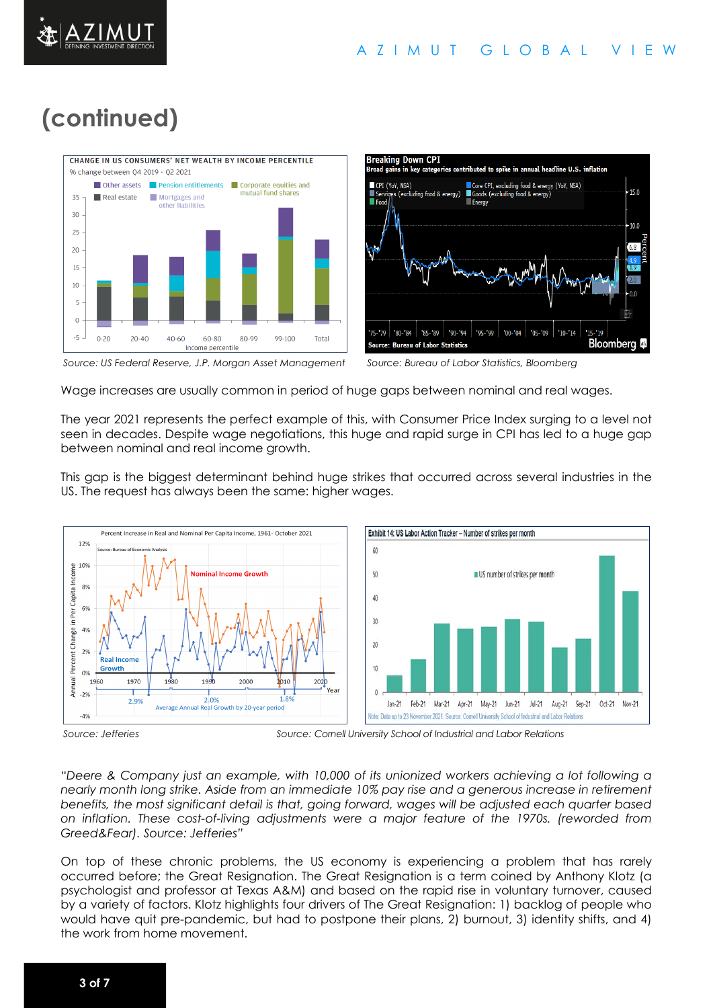# **(continued)**





*Source: US Federal Reserve, J.P. Morgan Asset Management Source: Bureau of Labor Statistics, Bloomberg*

Wage increases are usually common in period of huge gaps between nominal and real wages.

The year 2021 represents the perfect example of this, with Consumer Price Index surging to a level not seen in decades. Despite wage negotiations, this huge and rapid surge in CPI has led to a huge gap between nominal and real income growth.

This gap is the biggest determinant behind huge strikes that occurred across several industries in the US. The request has always been the same: higher wages.



*Source: Jefferies Source: Cornell University School of Industrial and Labor Relations*

*"Deere & Company just an example, with 10,000 of its unionized workers achieving a lot following a nearly month long strike. Aside from an immediate 10% pay rise and a generous increase in retirement benefits, the most significant detail is that, going forward, wages will be adjusted each quarter based on inflation. These cost-of-living adjustments were a major feature of the 1970s. (reworded from Greed&Fear). Source: Jefferies"*

On top of these chronic problems, the US economy is experiencing a problem that has rarely occurred before; the Great Resignation. The Great Resignation is a term coined by Anthony Klotz (a psychologist and professor at Texas A&M) and based on the rapid rise in voluntary turnover, caused by a variety of factors. Klotz highlights four drivers of The Great Resignation: 1) backlog of people who would have quit pre-pandemic, but had to postpone their plans, 2) burnout, 3) identity shifts, and 4) the work from home movement.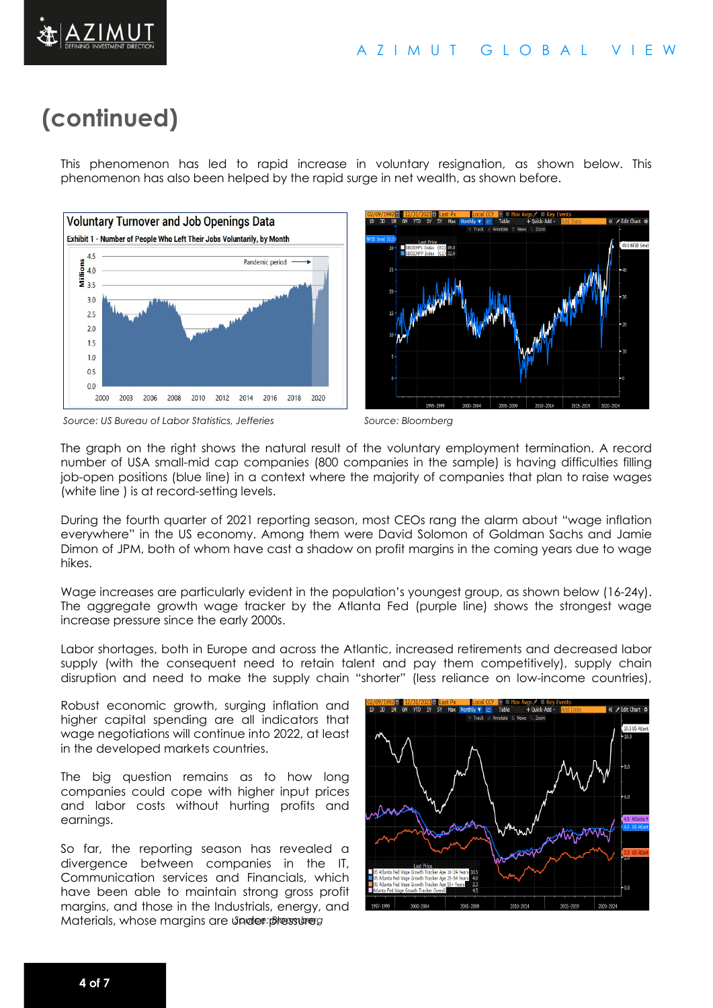

This phenomenon has led to rapid increase in voluntary resignation, as shown below. This phenomenon has also been helped by the rapid surge in net wealth, as shown before.





*Source: US Bureau of Labor Statistics, Jefferies Source: Bloomberg*

The graph on the right shows the natural result of the voluntary employment termination. A record number of USA small-mid cap companies (800 companies in the sample) is having difficulties filling job-open positions (blue line) in a context where the majority of companies that plan to raise wages (white line ) is at record-setting levels.

During the fourth quarter of 2021 reporting season, most CEOs rang the alarm about "wage inflation everywhere" in the US economy. Among them were David Solomon of Goldman Sachs and Jamie Dimon of JPM, both of whom have cast a shadow on profit margins in the coming years due to wage hikes.

Wage increases are particularly evident in the population's youngest group, as shown below (16-24y). The aggregate growth wage tracker by the Atlanta Fed (purple line) shows the strongest wage increase pressure since the early 2000s.

Labor shortages, both in Europe and across the Atlantic, increased retirements and decreased labor supply (with the consequent need to retain talent and pay them competitively), supply chain disruption and need to make the supply chain "shorter" (less reliance on low-income countries),

Robust economic growth, surging inflation and higher capital spending are all indicators that wage negotiations will continue into 2022, at least in the developed markets countries.

The big question remains as to how long companies could cope with higher input prices and labor costs without hurting profits and earnings.

*Materials, whose margins are under pressure.g* So far, the reporting season has revealed a divergence between companies in the IT, Communication services and Financials, which have been able to maintain strong gross profit margins, and those in the Industrials, energy, and

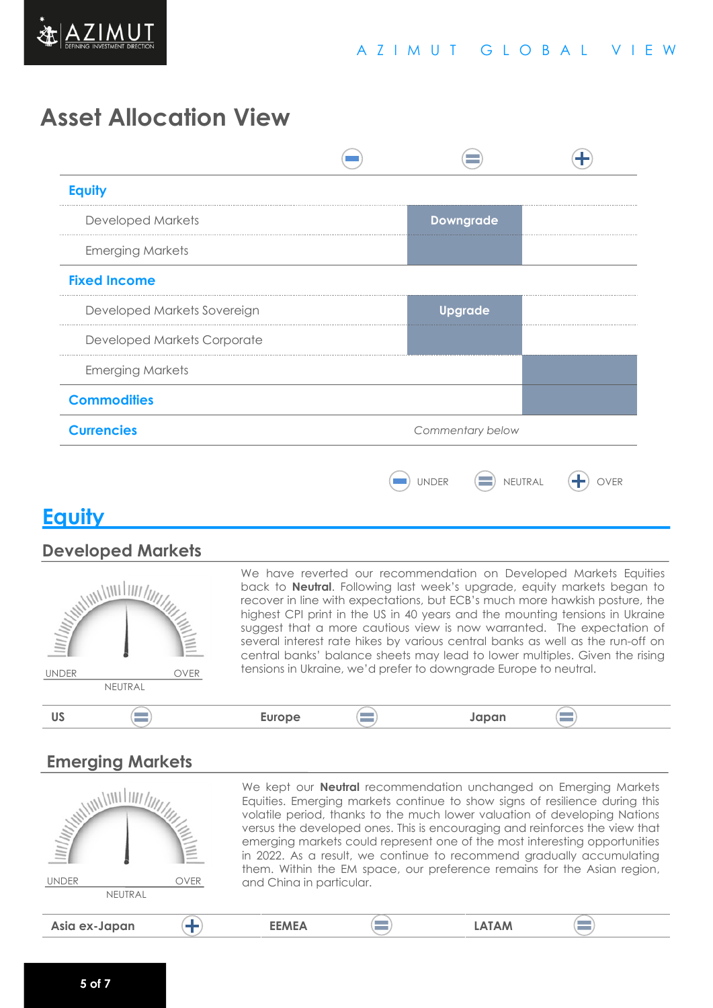

# **Asset Allocation View**

| <b>Equity</b>               |                  |              |                  |  |
|-----------------------------|------------------|--------------|------------------|--|
| <b>Developed Markets</b>    |                  |              | <b>Downgrade</b> |  |
| <b>Emerging Markets</b>     |                  |              |                  |  |
| <b>Fixed Income</b>         |                  |              |                  |  |
| Developed Markets Sovereign |                  |              | <b>Upgrade</b>   |  |
| Developed Markets Corporate |                  |              |                  |  |
| <b>Emerging Markets</b>     |                  |              |                  |  |
| <b>Commodities</b>          |                  |              |                  |  |
| <b>Currencies</b>           | Commentary below |              |                  |  |
|                             |                  | <b>UNDER</b> | NEUTRAL          |  |

## **Equity**

#### **Developed Markets**



We have reverted our recommendation on Developed Markets Equities back to **Neutral**. Following last week's upgrade, equity markets began to recover in line with expectations, but ECB's much more hawkish posture, the highest CPI print in the US in 40 years and the mounting tensions in Ukraine suggest that a more cautious view is now warranted. The expectation of several interest rate hikes by various central banks as well as the run-off on central banks' balance sheets may lead to lower multiples. Given the rising tensions in Ukraine, we'd prefer to downgrade Europe to neutral.

#### $\equiv$ **US Europe Japan**

### **Emerging Markets**

| <b>THE ALL AND STRAIT</b><br><b>UNDER</b><br>NEUTRAL | <b>OVER</b> | and China in particular. | We kept our <b>Neutral</b> recommendation unchanged on Emerging Markets<br>Equities. Emerging markets continue to show signs of resilience during this<br>volatile period, thanks to the much lower valuation of developing Nations<br>versus the developed ones. This is encouraging and reinforces the view that<br>emerging markets could represent one of the most interesting opportunities<br>in 2022. As a result, we continue to recommend gradually accumulating<br>them. Within the EM space, our preference remains for the Asian region, |  |
|------------------------------------------------------|-------------|--------------------------|------------------------------------------------------------------------------------------------------------------------------------------------------------------------------------------------------------------------------------------------------------------------------------------------------------------------------------------------------------------------------------------------------------------------------------------------------------------------------------------------------------------------------------------------------|--|
| Asia ex-Japan                                        |             | <b>EEMEA</b>             | <b>LATAM</b>                                                                                                                                                                                                                                                                                                                                                                                                                                                                                                                                         |  |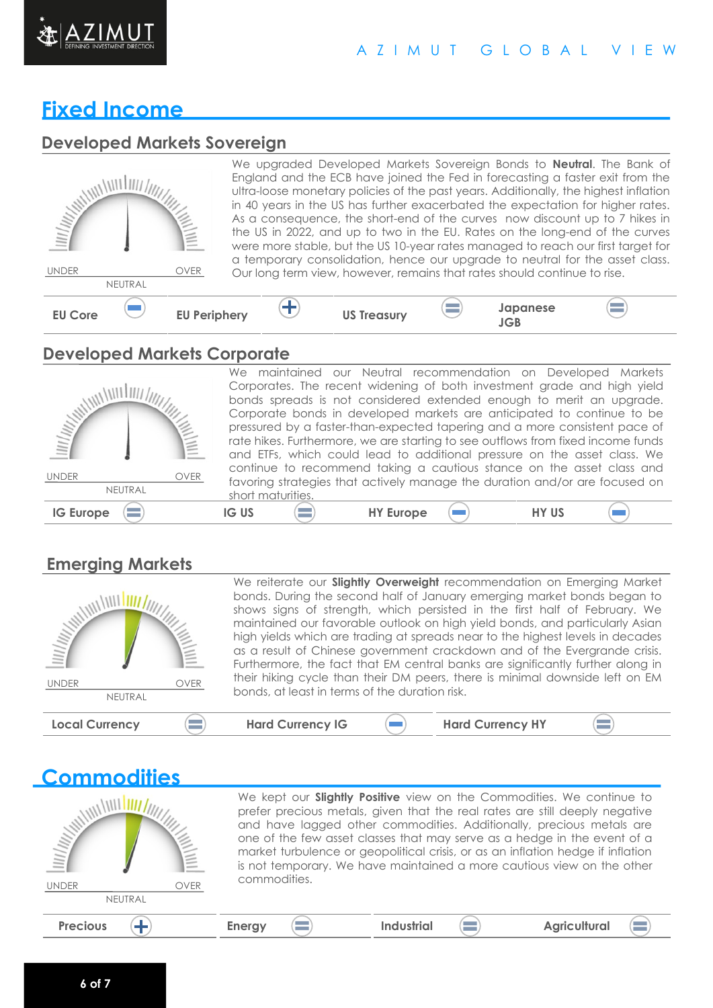

#### A Z I M U T G L O B A L V I E W

# **Fixed Income**

## **Developed Markets Sovereign**

## **Developed Markets Corporate**

| Ш/III;               | We maintained our Neutral recommendation on Developed Markets<br>Corporates. The recent widening of both investment grade and high yield<br>bonds spreads is not considered extended enough to merit an upgrade.<br>Corporate bonds in developed markets are anticipated to continue to be<br>pressured by a faster-than-expected tapering and a more consistent pace of<br>rate hikes. Furthermore, we are starting to see outflows from fixed income funds<br>and ETFs, which could lead to additional pressure on the asset class. We |
|----------------------|------------------------------------------------------------------------------------------------------------------------------------------------------------------------------------------------------------------------------------------------------------------------------------------------------------------------------------------------------------------------------------------------------------------------------------------------------------------------------------------------------------------------------------------|
| OVER<br><b>UNDER</b> | continue to recommend taking a cautious stance on the asset class and<br>favoring strategies that actively manage the duration and/or are focused on                                                                                                                                                                                                                                                                                                                                                                                     |
| NEUTRAL              | short maturities.                                                                                                                                                                                                                                                                                                                                                                                                                                                                                                                        |
| <b>IG Europe</b>     | <b>HY US</b><br><b>IG US</b><br><b>HY Europe</b>                                                                                                                                                                                                                                                                                                                                                                                                                                                                                         |

## **Emerging Markets**

| <b>Commodities</b>                                                               |                                                                                                                                                                                                                                                                                                                                                                                                                                                                              |  |  |
|----------------------------------------------------------------------------------|------------------------------------------------------------------------------------------------------------------------------------------------------------------------------------------------------------------------------------------------------------------------------------------------------------------------------------------------------------------------------------------------------------------------------------------------------------------------------|--|--|
| $\frac{\ f\ _{\mathcal{U}}}{\ f\ _{\mathcal{U}}}\ f\ _{\mathcal{U}}$<br>$\equiv$ | We kept our <b>Slightly Positive</b> view on the Commodities. We continue to<br>prefer precious metals, given that the real rates are still deeply negative<br>and have lagged other commodities. Additionally, precious metals are<br>one of the few asset classes that may serve as a hedge in the event of a<br>market turbulence or geopolitical crisis, or as an inflation hedge if inflation<br>is not temporary. We have maintained a more cautious view on the other |  |  |
| OVER<br><b>UNDER</b>                                                             | commodities.                                                                                                                                                                                                                                                                                                                                                                                                                                                                 |  |  |
| NEUTRAL                                                                          |                                                                                                                                                                                                                                                                                                                                                                                                                                                                              |  |  |
| <b>Precious</b>                                                                  | <b>Industrial</b><br><b>Agricultural</b><br><b>Energy</b>                                                                                                                                                                                                                                                                                                                                                                                                                    |  |  |